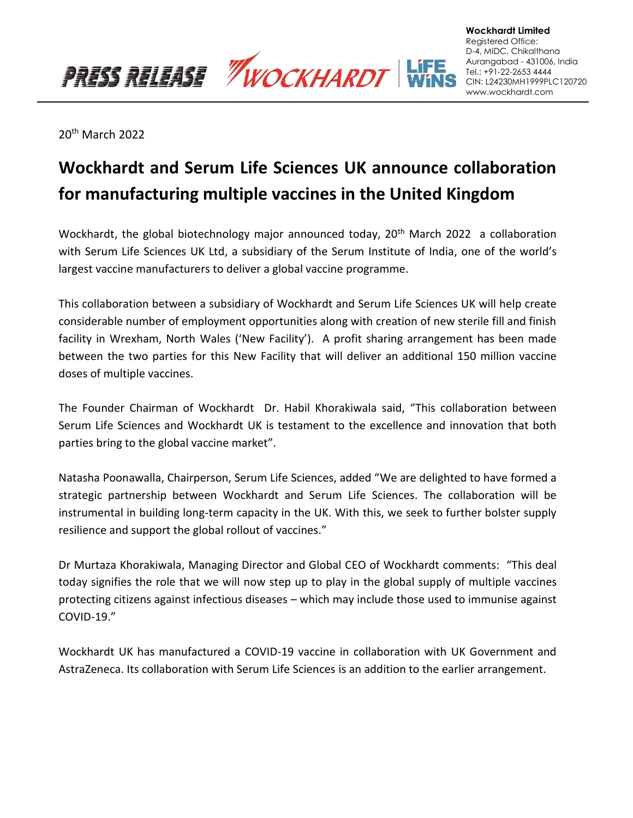PRESS RELEASE *WOCKHARDT* 

20th March 2022

# **Wockhardt and Serum Life Sciences UK announce collaboration for manufacturing multiple vaccines in the United Kingdom**

Wockhardt, the global biotechnology major announced today, 20<sup>th</sup> March 2022 a collaboration with Serum Life Sciences UK Ltd, a subsidiary of the Serum Institute of India, one of the world's largest vaccine manufacturers to deliver a global vaccine programme.

This collaboration between a subsidiary of Wockhardt and Serum Life Sciences UK will help create considerable number of employment opportunities along with creation of new sterile fill and finish facility in Wrexham, North Wales ('New Facility'). A profit sharing arrangement has been made between the two parties for this New Facility that will deliver an additional 150 million vaccine doses of multiple vaccines.

The Founder Chairman of Wockhardt Dr. Habil Khorakiwala said, "This collaboration between Serum Life Sciences and Wockhardt UK is testament to the excellence and innovation that both parties bring to the global vaccine market".

Natasha Poonawalla, Chairperson, Serum Life Sciences, added "We are delighted to have formed a strategic partnership between Wockhardt and Serum Life Sciences. The collaboration will be instrumental in building long-term capacity in the UK. With this, we seek to further bolster supply resilience and support the global rollout of vaccines."

Dr Murtaza Khorakiwala, Managing Director and Global CEO of Wockhardt comments: "This deal today signifies the role that we will now step up to play in the global supply of multiple vaccines protecting citizens against infectious diseases – which may include those used to immunise against COVID-19."

Wockhardt UK has manufactured a COVID-19 vaccine in collaboration with UK Government and AstraZeneca. Its collaboration with Serum Life Sciences is an addition to the earlier arrangement.